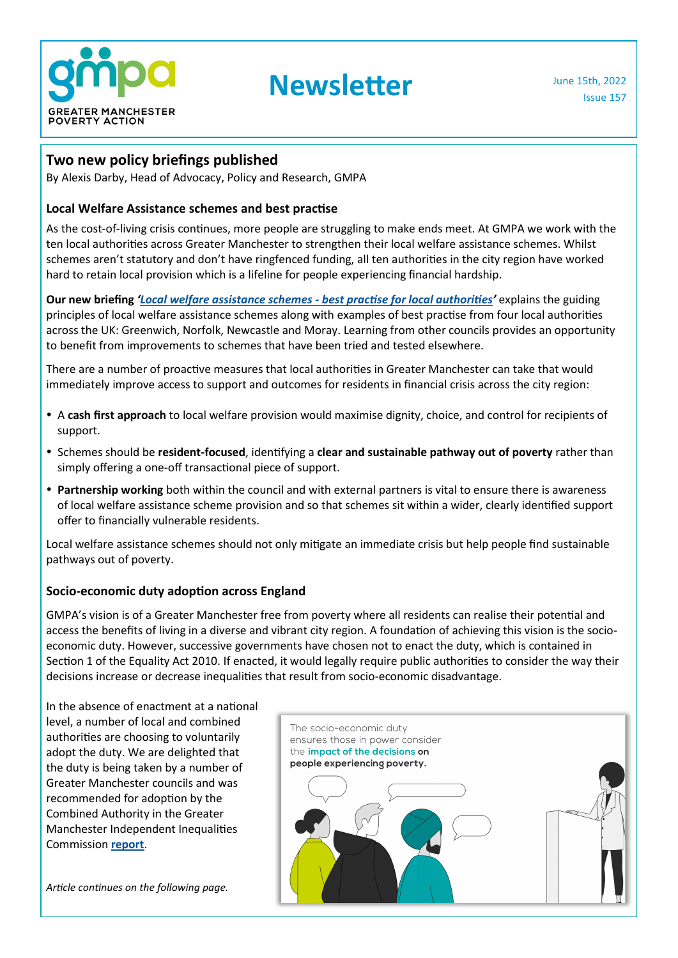

# **Newsletter** June 15th, 2022

#### **Two new policy briefings published**

By Alexis Darby, Head of Advocacy, Policy and Research, GMPA

#### **Local Welfare Assistance schemes and best practise**

As the cost-of-living crisis continues, more people are struggling to make ends meet. At GMPA we work with the ten local authorities across Greater Manchester to strengthen their local welfare assistance schemes. Whilst schemes aren't statutory and don't have ringfenced funding, all ten authorities in the city region have worked hard to retain local provision which is a lifeline for people experiencing financial hardship.

**Our new briefing** *'[Local welfare assistance schemes](https://www.gmpovertyaction.org/wp-content/uploads/2022/06/LWAS-June-2022-FINAL-DRAFT.pdf) - best practise for local authorities'* explains the guiding principles of local welfare assistance schemes along with examples of best practise from four local authorities across the UK: Greenwich, Norfolk, Newcastle and Moray. Learning from other councils provides an opportunity to benefit from improvements to schemes that have been tried and tested elsewhere.

There are a number of proactive measures that local authorities in Greater Manchester can take that would immediately improve access to support and outcomes for residents in financial crisis across the city region:

- A **cash first approach** to local welfare provision would maximise dignity, choice, and control for recipients of support.
- Schemes should be **resident-focused**, identifying a **clear and sustainable pathway out of poverty** rather than simply offering a one-off transactional piece of support.
- **Partnership working** both within the council and with external partners is vital to ensure there is awareness of local welfare assistance scheme provision and so that schemes sit within a wider, clearly identified support offer to financially vulnerable residents.

Local welfare assistance schemes should not only mitigate an immediate crisis but help people find sustainable pathways out of poverty.

#### **Socio-economic duty adoption across England**

GMPA's vision is of a Greater Manchester free from poverty where all residents can realise their potential and access the benefits of living in a diverse and vibrant city region. A foundation of achieving this vision is the socioeconomic duty. However, successive governments have chosen not to enact the duty, which is contained in Section 1 of the Equality Act 2010. If enacted, it would legally require public authorities to consider the way their decisions increase or decrease inequalities that result from socio-economic disadvantage.

In the absence of enactment at a national level, a number of local and combined authorities are choosing to voluntarily adopt the duty. We are delighted that the duty is being taken by a number of Greater Manchester councils and was recommended for adoption by the Combined Authority in the Greater Manchester Independent Inequalities Commission **[report](https://www.greatermanchester-ca.gov.uk/media/4337/gmca_independent-inequalities-commission_v15.pdf)**.

*Article continues on the following page.*

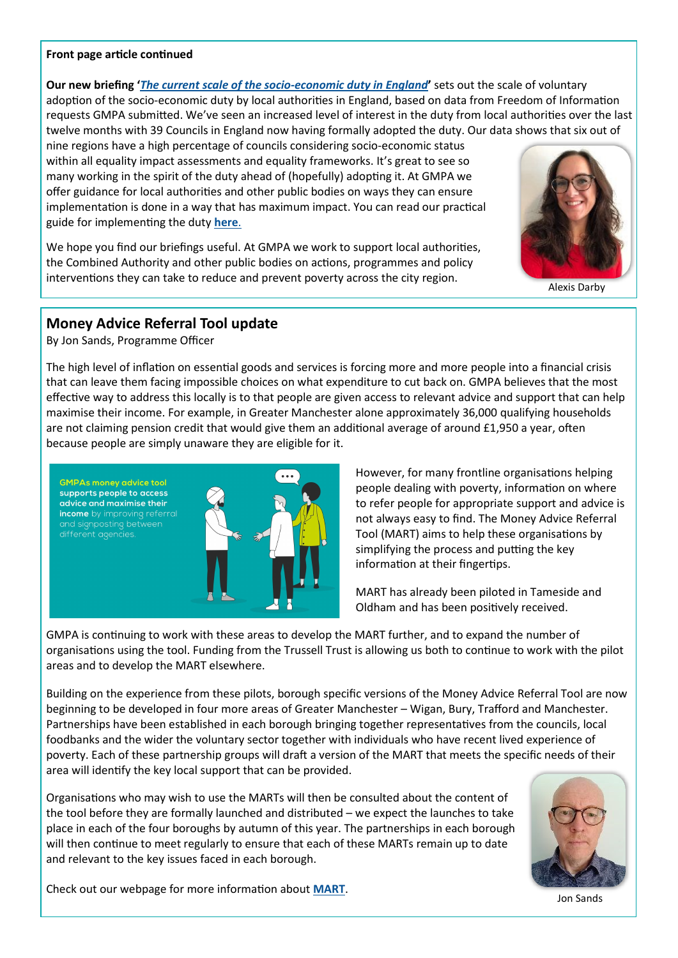#### **Front page article continued**

**Our new briefing '***[The current scale of the socio](https://www.gmpovertyaction.org/wp-content/uploads/2022/06/SED-findings-briefing-FINAL-DRAFT-002.pdf)-economic duty in England***'** sets out the scale of voluntary adoption of the socio-economic duty by local authorities in England, based on data from Freedom of Information requests GMPA submitted. We've seen an increased level of interest in the duty from local authorities over the last twelve months with 39 Councils in England now having formally adopted the duty. Our data shows that six out of

nine regions have a high percentage of councils considering socio-economic status within all equality impact assessments and equality frameworks. It's great to see so many working in the spirit of the duty ahead of (hopefully) adopting it. At GMPA we offer guidance for local authorities and other public bodies on ways they can ensure implementation is done in a way that has maximum impact. You can read our practical guide for implementing the duty **[here](https://www.gmpovertyaction.org/wp-content/uploads/2021/06/Socio-Economic-Duty-Guide-v6.pdf)**.

We hope you find our briefings useful. At GMPA we work to support local authorities, the Combined Authority and other public bodies on actions, programmes and policy interventions they can take to reduce and prevent poverty across the city region.



Alexis Darby

# **Money Advice Referral Tool update**

By Jon Sands, Programme Officer

The high level of inflation on essential goods and services is forcing more and more people into a financial crisis that can leave them facing impossible choices on what expenditure to cut back on. GMPA believes that the most effective way to address this locally is to that people are given access to relevant advice and support that can help maximise their income. For example, in Greater Manchester alone approximately 36,000 qualifying households are not claiming pension credit that would give them an additional average of around £1,950 a year, often because people are simply unaware they are eligible for it.



However, for many frontline organisations helping people dealing with poverty, information on where to refer people for appropriate support and advice is not always easy to find. The Money Advice Referral Tool (MART) aims to help these organisations by simplifying the process and putting the key information at their fingertips.

MART has already been piloted in Tameside and Oldham and has been positively received.

GMPA is continuing to work with these areas to develop the MART further, and to expand the number of organisations using the tool. Funding from the Trussell Trust is allowing us both to continue to work with the pilot areas and to develop the MART elsewhere.

Building on the experience from these pilots, borough specific versions of the Money Advice Referral Tool are now beginning to be developed in four more areas of Greater Manchester – Wigan, Bury, Trafford and Manchester. Partnerships have been established in each borough bringing together representatives from the councils, local foodbanks and the wider the voluntary sector together with individuals who have recent lived experience of poverty. Each of these partnership groups will draft a version of the MART that meets the specific needs of their area will identify the key local support that can be provided.

Organisations who may wish to use the MARTs will then be consulted about the content of the tool before they are formally launched and distributed – we expect the launches to take place in each of the four boroughs by autumn of this year. The partnerships in each borough will then continue to meet regularly to ensure that each of these MARTs remain up to date and relevant to the key issues faced in each borough.



Jon Sands

Check out our webpage for more information about **[MART](https://www.gmpovertyaction.org/money-advice-referral-tools/)**.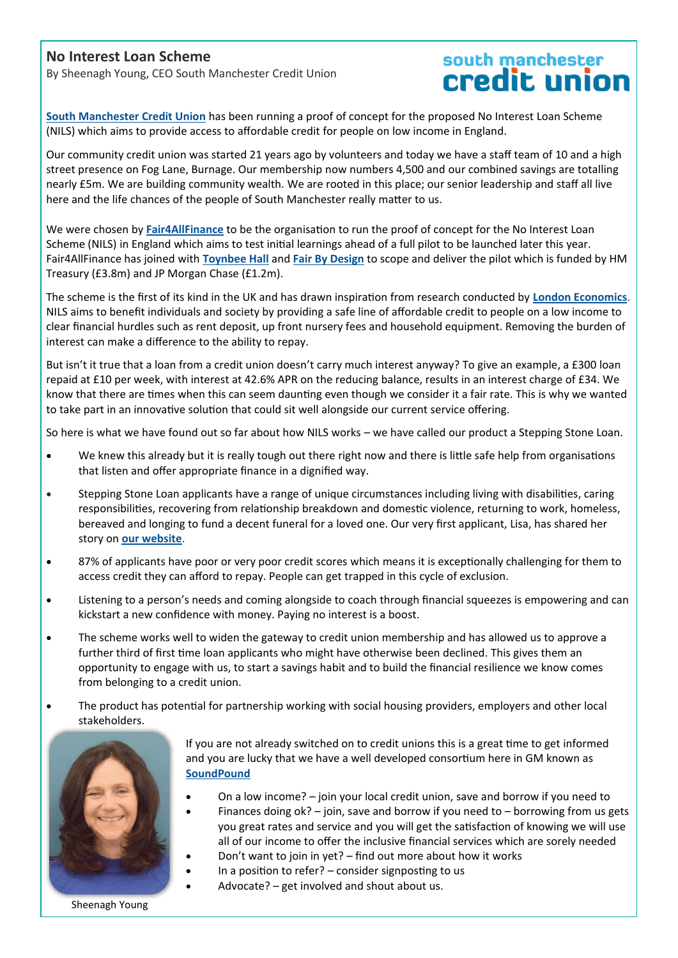#### **No Interest Loan Scheme**

By Sheenagh Young, CEO South Manchester Credit Union

# south manchester<br>Credit union

**[South Manchester Credit Union](https://www.smcreditunion.co.uk/)** has been running a proof of concept for the proposed No Interest Loan Scheme (NILS) which aims to provide access to affordable credit for people on low income in England.

Our community credit union was started 21 years ago by volunteers and today we have a staff team of 10 and a high street presence on Fog Lane, Burnage. Our membership now numbers 4,500 and our combined savings are totalling nearly £5m. We are building community wealth. We are rooted in this place; our senior leadership and staff all live here and the life chances of the people of South Manchester really matter to us.

We were chosen by **[Fair4AllFinance](https://fair4allfinance.org.uk/news/learning-from-our-no-interest-loan-scheme-proof-of-concept/)** to be the organisation to run the proof of concept for the No Interest Loan Scheme (NILS) in England which aims to test initial learnings ahead of a full pilot to be launched later this year. Fair4AllFinance has joined with **[Toynbee Hall](https://www.toynbeehall.org.uk/)** and **[Fair By Design](https://fairbydesign.com/)** to scope and deliver the pilot which is funded by HM Treasury (£3.8m) and JP Morgan Chase (£1.2m).

The scheme is the first of its kind in the UK and has drawn inspiration from research conducted by **[London Economics](https://londoneconomics.co.uk/blog/publication/feasibility-study-into-the-viability-of-establishing-a-no-interest-loans-scheme-nils-in-the-uk-march-2020/)**. NILS aims to benefit individuals and society by providing a safe line of affordable credit to people on a low income to clear financial hurdles such as rent deposit, up front nursery fees and household equipment. Removing the burden of interest can make a difference to the ability to repay.

But isn't it true that a loan from a credit union doesn't carry much interest anyway? To give an example, a £300 loan repaid at £10 per week, with interest at 42.6% APR on the reducing balance, results in an interest charge of £34. We know that there are times when this can seem daunting even though we consider it a fair rate. This is why we wanted to take part in an innovative solution that could sit well alongside our current service offering.

So here is what we have found out so far about how NILS works – we have called our product a Stepping Stone Loan.

- We knew this already but it is really tough out there right now and there is little safe help from organisations that listen and offer appropriate finance in a dignified way.
- Stepping Stone Loan applicants have a range of unique circumstances including living with disabilities, caring responsibilities, recovering from relationship breakdown and domestic violence, returning to work, homeless, bereaved and longing to fund a decent funeral for a loved one. Our very first applicant, Lisa, has shared her story on **[our website](https://www.smcreditunion.co.uk/the-final-journey/)**.
- 87% of applicants have poor or very poor credit scores which means it is exceptionally challenging for them to access credit they can afford to repay. People can get trapped in this cycle of exclusion.
- Listening to a person's needs and coming alongside to coach through financial squeezes is empowering and can kickstart a new confidence with money. Paying no interest is a boost.
- The scheme works well to widen the gateway to credit union membership and has allowed us to approve a further third of first time loan applicants who might have otherwise been declined. This gives them an opportunity to engage with us, to start a savings habit and to build the financial resilience we know comes from belonging to a credit union.
- The product has potential for partnership working with social housing providers, employers and other local stakeholders.



If you are not already switched on to credit unions this is a great time to get informed and you are lucky that we have a well developed consortium here in GM known as **[SoundPound](https://soundpound.co.uk/%20)**

- On a low income? join your local credit union, save and borrow if you need to
- Finances doing  $ok?$  join, save and borrow if you need to borrowing from us gets you great rates and service and you will get the satisfaction of knowing we will use all of our income to offer the inclusive financial services which are sorely needed
- Don't want to join in yet? find out more about how it works
- In a position to refer?  $-$  consider signposting to us
- Advocate? get involved and shout about us.

Sheenagh Young